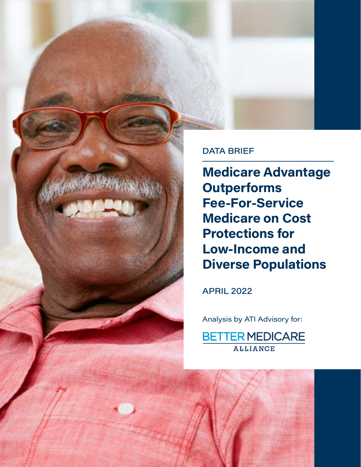

Medicare Advantage **Outperforms** Fee-For-Service Medicare on Cost Protections for Low-Income and Diverse Populations

APRIL 2022

Medicare Advantage Outperforms Fee-For-Service Medicare on Cost Protections for Low-Income and Diverse Populations 1

Analysis by ATI Advisory for:

**BETTER MEDICARE ALLIANCE**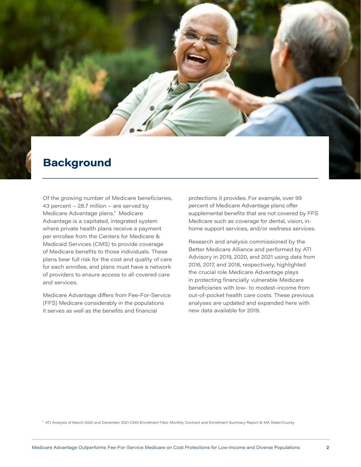## **Background**

Of the growing number of Medicare beneficiaries, 43 percent – 28.7 million – are served by Medicare Advantage plans.<sup>1</sup> Medicare Advantage is a capitated, integrated system where private health plans receive a payment per enrollee from the Centers for Medicare & Medicaid Services (CMS) to provide coverage of Medicare benefits to those individuals. These plans bear full risk for the cost and quality of care for each enrollee, and plans must have a network of providers to ensure access to all covered care and services.

Medicare Advantage differs from Fee-For-Service (FFS) Medicare considerably in the populations it serves as well as the benefits and financial

protections it provides. For example, over 99 percent of Medicare Advantage plans offer supplemental benefits that are not covered by FFS Medicare such as coverage for dental, vision, inhome support services, and/or wellness services.

Research and analysis commissioned by the Better Medicare Alliance and performed by ATI Advisory in 2019, 2020, and 2021 using data from 2016, 2017, and 2018, respectively, highlighted the crucial role Medicare Advantage plays in protecting financially vulnerable Medicare beneficiaries with low- to modest-income from out-of-pocket health care costs. These previous analyses are updated and expanded here with new data available for 2019.

1 ATI Analysis of March 2022 and December 2021 CMS Enrollment Files: Monthly Contract and Enrollment Summary Report & MA State/County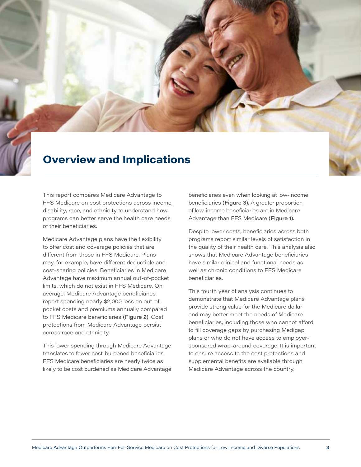## Overview and Implications

This report compares Medicare Advantage to FFS Medicare on cost protections across income, disability, race, and ethnicity to understand how programs can better serve the health care needs of their beneficiaries.

Medicare Advantage plans have the flexibility to offer cost and coverage policies that are different from those in FFS Medicare. Plans may, for example, have different deductible and cost-sharing policies. Beneficiaries in Medicare Advantage have maximum annual out-of-pocket limits, which do not exist in FFS Medicare. On average, Medicare Advantage beneficiaries report spending nearly \$2,000 less on out-ofpocket costs and premiums annually compared to FFS Medicare beneficiaries (Figure 2). Cost protections from Medicare Advantage persist across race and ethnicity.

This lower spending through Medicare Advantage translates to fewer cost-burdened beneficiaries. FFS Medicare beneficiaries are nearly twice as likely to be cost burdened as Medicare Advantage beneficiaries even when looking at low-income beneficiaries (Figure 3). A greater proportion of low-income beneficiaries are in Medicare Advantage than FFS Medicare (Figure 1).

Despite lower costs, beneficiaries across both programs report similar levels of satisfaction in the quality of their health care. This analysis also shows that Medicare Advantage beneficiaries have similar clinical and functional needs as well as chronic conditions to FFS Medicare beneficiaries.

This fourth year of analysis continues to demonstrate that Medicare Advantage plans provide strong value for the Medicare dollar and may better meet the needs of Medicare beneficiaries, including those who cannot afford to fill coverage gaps by purchasing Medigap plans or who do not have access to employersponsored wrap-around coverage. It is important to ensure access to the cost protections and supplemental benefits are available through Medicare Advantage across the country.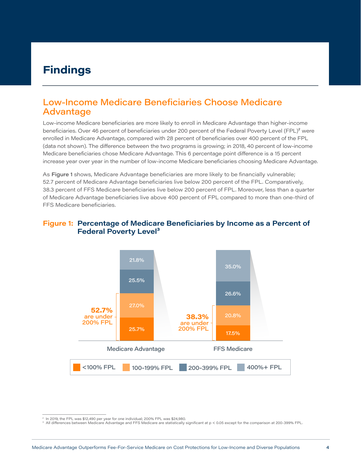# Findings

### Low-Income Medicare Beneficiaries Choose Medicare Advantage

Low-income Medicare beneficiaries are more likely to enroll in Medicare Advantage than higher-income beneficiaries. Over 46 percent of beneficiaries under 200 percent of the Federal Poverty Level (FPL)<sup>2</sup> were enrolled in Medicare Advantage, compared with 28 percent of beneficiaries over 400 percent of the FPL (data not shown). The difference between the two programs is growing; in 2018, 40 percent of low-income Medicare beneficiaries chose Medicare Advantage. This 6 percentage point difference is a 15 percent increase year over year in the number of low-income Medicare beneficiaries choosing Medicare Advantage.

As Figure 1 shows, Medicare Advantage beneficiaries are more likely to be financially vulnerable; 52.7 percent of Medicare Advantage beneficiaries live below 200 percent of the FPL. Comparatively, 38.3 percent of FFS Medicare beneficiaries live below 200 percent of FPL. Moreover, less than a quarter of Medicare Advantage beneficiaries live above 400 percent of FPL compared to more than one-third of FFS Medicare beneficiaries.

#### Figure 1: Percentage of Medicare Beneficiaries by Income as a Percent of Federal Poverty Level<sup>3</sup>



<sup>&</sup>lt;sup>2</sup> In 2019, the FPL was \$12,490 per year for one individual; 200% FPL was \$24,980.

<sup>3</sup> All differences between Medicare Advantage and FFS Medicare are statistically significant at p < 0.05 except for the comparison at 200-399% FPL.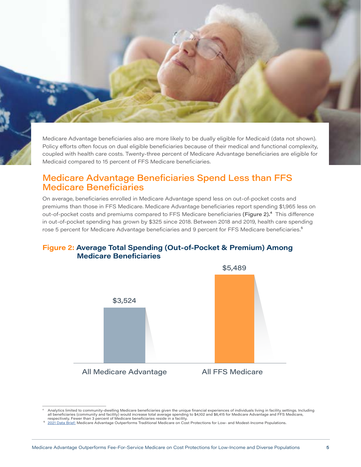Medicare Advantage beneficiaries also are more likely to be dually eligible for Medicaid (data not shown). Policy efforts often focus on dual eligible beneficiaries because of their medical and functional complexity, coupled with health care costs. Twenty-three percent of Medicare Advantage beneficiaries are eligible for Medicaid compared to 15 percent of FFS Medicare beneficiaries.

### Medicare Advantage Beneficiaries Spend Less than FFS Medicare Beneficiaries

On average, beneficiaries enrolled in Medicare Advantage spend less on out-of-pocket costs and premiums than those in FFS Medicare. Medicare Advantage beneficiaries report spending \$1,965 less on out-of-pocket costs and premiums compared to FFS Medicare beneficiaries (Figure 2).<sup>4</sup> This difference in out-of-pocket spending has grown by \$325 since 2018. Between 2018 and 2019, health care spending rose 5 percent for Medicare Advantage beneficiaries and 9 percent for FFS Medicare beneficiaries.<sup>5</sup>

#### Figure 2: Average Total Spending (Out-of-Pocket & Premium) Among Medicare Beneficiaries



Analytics limited to community-dwelling Medicare beneficiaries given the unique financial experiences of individuals living in facility settings. Including (4 Analytics limited to community and facility) would increase tot respectively. Fewer than 3 percent of Medicare beneficiaries reside in a facility.

[<sup>2021</sup> Data Brief:](https://bettermedicarealliance.org/publication/data-brief-medicare-advantage-outperforms-traditional-medicare-on-cost-protections-for-low-and-modest-income-populations-2/) Medicare Advantage Outperforms Traditional Medicare on Cost Protections for Low- and Modest-Income Populations.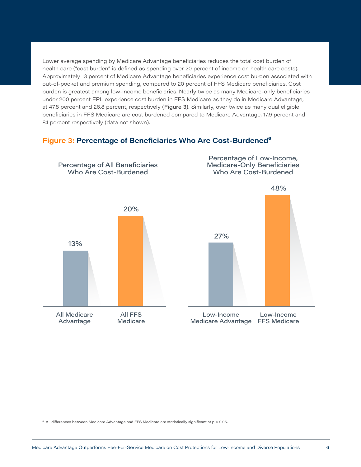Lower average spending by Medicare Advantage beneficiaries reduces the total cost burden of health care ("cost burden" is defined as spending over 20 percent of income on health care costs). Approximately 13 percent of Medicare Advantage beneficiaries experience cost burden associated with out-of-pocket and premium spending, compared to 20 percent of FFS Medicare beneficiaries. Cost burden is greatest among low-income beneficiaries. Nearly twice as many Medicare-only beneficiaries under 200 percent FPL experience cost burden in FFS Medicare as they do in Medicare Advantage, at 47.8 percent and 26.8 percent, respectively (Figure 3). Similarly, over twice as many dual eligible beneficiaries in FFS Medicare are cost burdened compared to Medicare Advantage, 17.9 percent and 8.1 percent respectively (data not shown).

#### Figure 3: Percentage of Beneficiaries Who Are Cost-Burdened<sup>6</sup>



<sup>6</sup> All differences between Medicare Advantage and FFS Medicare are statistically significant at p < 0.05.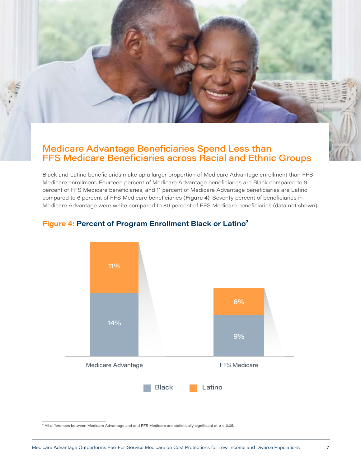### Medicare Advantage Beneficiaries Spend Less than FFS Medicare Beneficiaries across Racial and Ethnic Groups

Black and Latino beneficiaries make up a larger proportion of Medicare Advantage enrollment than FFS Medicare enrollment. Fourteen percent of Medicare Advantage beneficiaries are Black compared to 9 percent of FFS Medicare beneficiaries, and 11 percent of Medicare Advantage beneficiaries are Latino compared to 6 percent of FFS Medicare beneficiaries (Figure 4). Seventy percent of beneficiaries in Medicare Advantage were white compared to 80 percent of FFS Medicare beneficiaries (data not shown).



#### Figure 4: Percent of Program Enrollment Black or Latino<sup>7</sup>

7 All differences between Medicare Advantage and and FFS Medicare are statistically significant at p < 0.05.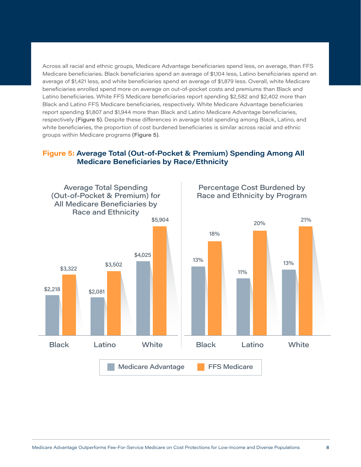Across all racial and ethnic groups, Medicare Advantage beneficiaries spend less, on average, than FFS Medicare beneficiaries. Black beneficiaries spend an average of \$1,104 less, Latino beneficiaries spend an average of \$1,421 less, and white beneficiaries spend an average of \$1,879 less. Overall, white Medicare beneficiaries enrolled spend more on average on out-of-pocket costs and premiums than Black and Latino beneficiaries. White FFS Medicare beneficiaries report spending \$2,582 and \$2,402 more than Black and Latino FFS Medicare beneficiaries, respectively. White Medicare Advantage beneficiaries report spending \$1,807 and \$1,944 more than Black and Latino Medicare Advantage beneficiaries, respectively (Figure 5). Despite these differences in average total spending among Black, Latino, and white beneficiaries, the proportion of cost burdened beneficiaries is similar across racial and ethnic groups within Medicare programs (Figure 5).

#### Figure 5: Average Total (Out-of-Pocket & Premium) Spending Among All Medicare Beneficiaries by Race/Ethnicity

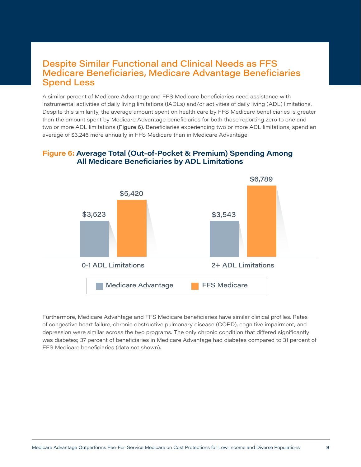### Despite Similar Functional and Clinical Needs as FFS Medicare Beneficiaries, Medicare Advantage Beneficiaries Spend Less

A similar percent of Medicare Advantage and FFS Medicare beneficiaries need assistance with instrumental activities of daily living limitations (IADLs) and/or activities of daily living (ADL) limitations. Despite this similarity, the average amount spent on health care by FFS Medicare beneficiaries is greater than the amount spent by Medicare Advantage beneficiaries for both those reporting zero to one and two or more ADL limitations (Figure 6). Beneficiaries experiencing two or more ADL limitations, spend an average of \$3,246 more annually in FFS Medicare than in Medicare Advantage.

#### Figure 6: Average Total (Out-of-Pocket & Premium) Spending Among All Medicare Beneficiaries by ADL Limitations



Furthermore, Medicare Advantage and FFS Medicare beneficiaries have similar clinical profiles. Rates of congestive heart failure, chronic obstructive pulmonary disease (COPD), cognitive impairment, and depression were similar across the two programs. The only chronic condition that differed significantly was diabetes; 37 percent of beneficiaries in Medicare Advantage had diabetes compared to 31 percent of FFS Medicare beneficiaries (data not shown).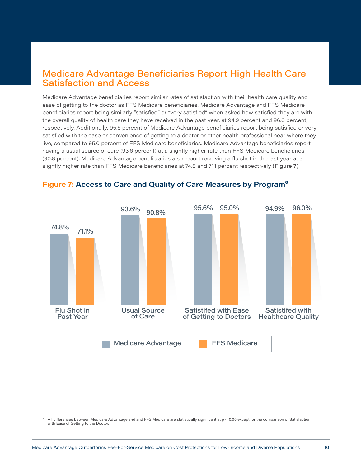### Medicare Advantage Beneficiaries Report High Health Care Satisfaction and Access

Medicare Advantage beneficiaries report similar rates of satisfaction with their health care quality and ease of getting to the doctor as FFS Medicare beneficiaries. Medicare Advantage and FFS Medicare beneficiaries report being similarly "satisfied" or "very satisfied" when asked how satisfied they are with the overall quality of health care they have received in the past year, at 94.9 percent and 96.0 percent, respectively. Additionally, 95.6 percent of Medicare Advantage beneficiaries report being satisfied or very satisfied with the ease or convenience of getting to a doctor or other health professional near where they live, compared to 95.0 percent of FFS Medicare beneficiaries. Medicare Advantage beneficiaries report having a usual source of care (93.6 percent) at a slightly higher rate than FFS Medicare beneficiaries (90.8 percent). Medicare Advantage beneficiaries also report receiving a flu shot in the last year at a slightly higher rate than FFS Medicare beneficiaries at 74.8 and 71.1 percent respectively (Figure 7).



#### Figure 7: Access to Care and Quality of Care Measures by Program<sup>8</sup>

<sup>8</sup> All differences between Medicare Advantage and and FFS Medicare are statistically significant at p < 0.05 except for the comparison of Satisfaction with Ease of Getting to the Doctor.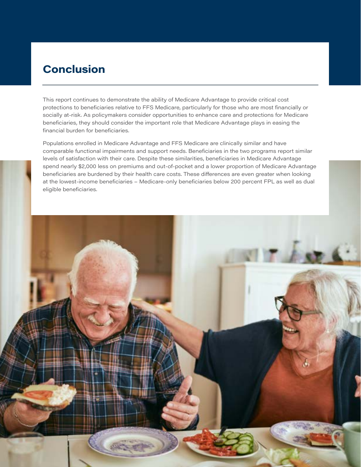## Conclusion

This report continues to demonstrate the ability of Medicare Advantage to provide critical cost protections to beneficiaries relative to FFS Medicare, particularly for those who are most financially or socially at-risk. As policymakers consider opportunities to enhance care and protections for Medicare beneficiaries, they should consider the important role that Medicare Advantage plays in easing the financial burden for beneficiaries.

Populations enrolled in Medicare Advantage and FFS Medicare are clinically similar and have comparable functional impairments and support needs. Beneficiaries in the two programs report similar levels of satisfaction with their care. Despite these similarities, beneficiaries in Medicare Advantage spend nearly \$2,000 less on premiums and out-of-pocket and a lower proportion of Medicare Advantage beneficiaries are burdened by their health care costs. These differences are even greater when looking at the lowest-income beneficiaries – Medicare-only beneficiaries below 200 percent FPL as well as dual eligible beneficiaries.

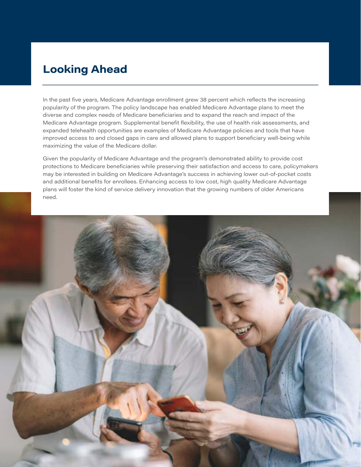## Looking Ahead

In the past five years, Medicare Advantage enrollment grew 38 percent which reflects the increasing popularity of the program. The policy landscape has enabled Medicare Advantage plans to meet the diverse and complex needs of Medicare beneficiaries and to expand the reach and impact of the Medicare Advantage program. Supplemental benefit flexibility, the use of health risk assessments, and expanded telehealth opportunities are examples of Medicare Advantage policies and tools that have improved access to and closed gaps in care and allowed plans to support beneficiary well-being while maximizing the value of the Medicare dollar.

Given the popularity of Medicare Advantage and the program's demonstrated ability to provide cost protections to Medicare beneficiaries while preserving their satisfaction and access to care, policymakers may be interested in building on Medicare Advantage's success in achieving lower out-of-pocket costs and additional benefits for enrollees. Enhancing access to low cost, high quality Medicare Advantage plans will foster the kind of service delivery innovation that the growing numbers of older Americans need.